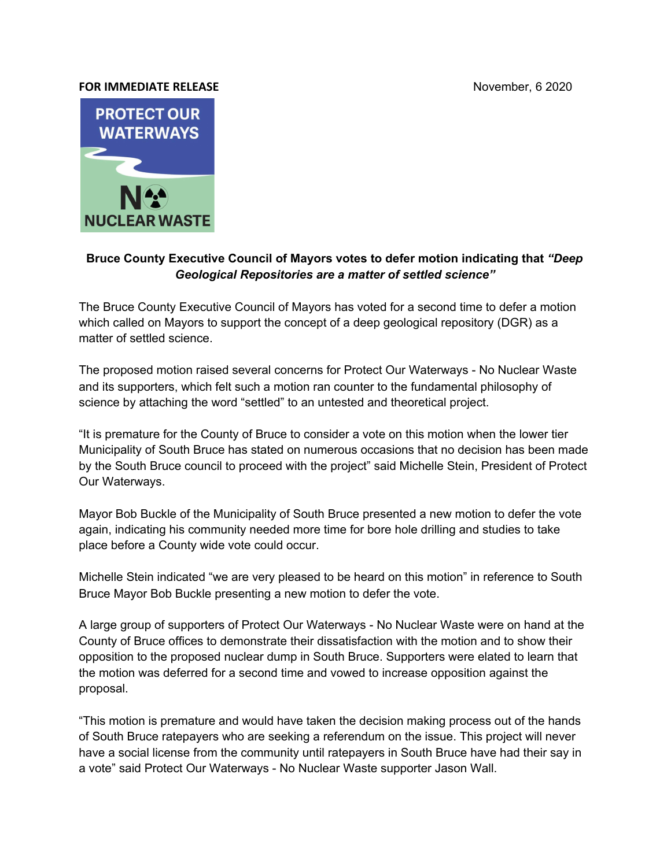## **FOR IMMEDIATE RELEASE** November, 6 2020



## **Bruce County Executive Council of Mayors votes to defer motion indicating that** *"Deep Geological Repositories are a matter of settled science"*

The Bruce County Executive Council of Mayors has voted for a second time to defer a motion which called on Mayors to support the concept of a deep geological repository (DGR) as a matter of settled science.

The proposed motion raised several concerns for Protect Our Waterways - No Nuclear Waste and its supporters, which felt such a motion ran counter to the fundamental philosophy of science by attaching the word "settled" to an untested and theoretical project.

"It is premature for the County of Bruce to consider a vote on this motion when the lower tier Municipality of South Bruce has stated on numerous occasions that no decision has been made by the South Bruce council to proceed with the project" said Michelle Stein, President of Protect Our Waterways.

Mayor Bob Buckle of the Municipality of South Bruce presented a new motion to defer the vote again, indicating his community needed more time for bore hole drilling and studies to take place before a County wide vote could occur.

Michelle Stein indicated "we are very pleased to be heard on this motion" in reference to South Bruce Mayor Bob Buckle presenting a new motion to defer the vote.

A large group of supporters of Protect Our Waterways - No Nuclear Waste were on hand at the County of Bruce offices to demonstrate their dissatisfaction with the motion and to show their opposition to the proposed nuclear dump in South Bruce. Supporters were elated to learn that the motion was deferred for a second time and vowed to increase opposition against the proposal.

"This motion is premature and would have taken the decision making process out of the hands of South Bruce ratepayers who are seeking a referendum on the issue. This project will never have a social license from the community until ratepayers in South Bruce have had their say in a vote" said Protect Our Waterways - No Nuclear Waste supporter Jason Wall.